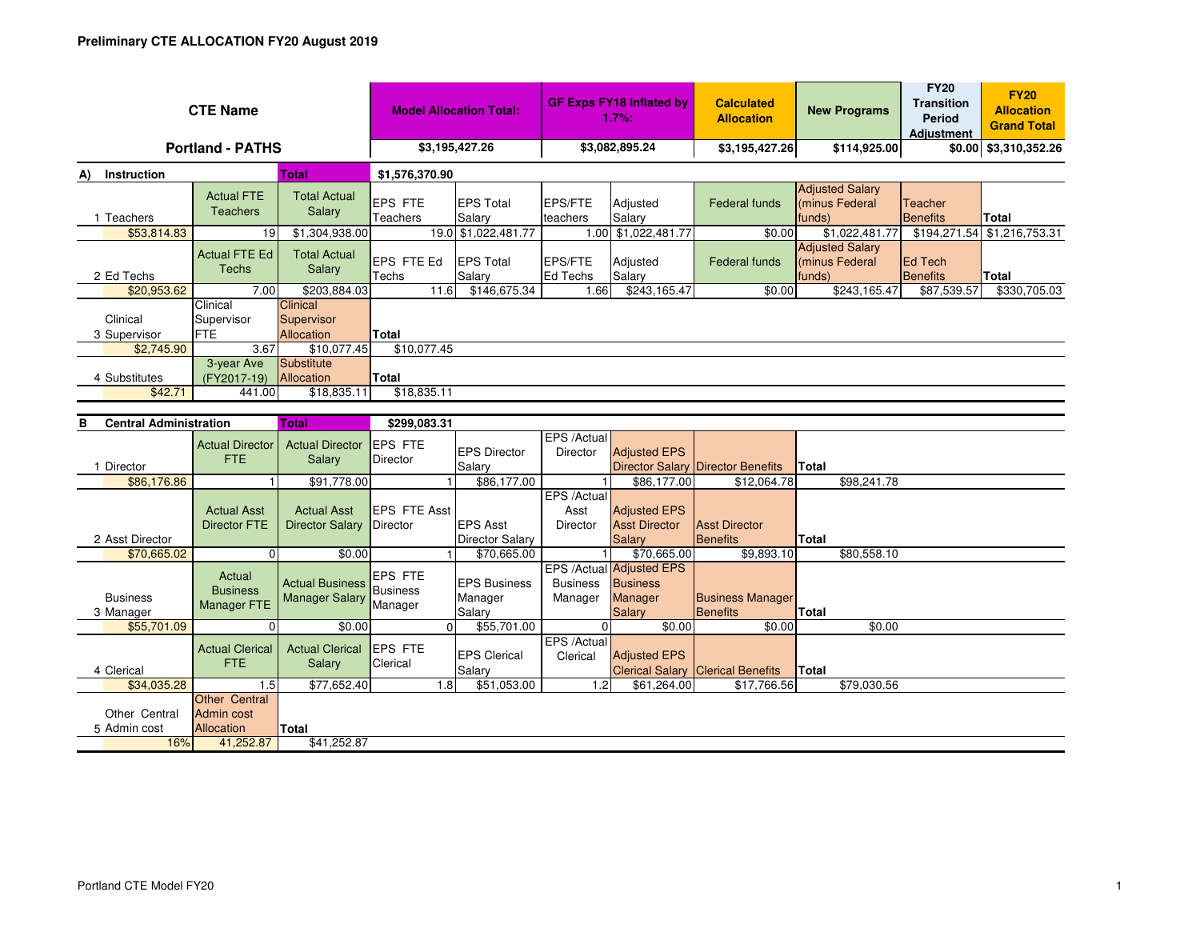| <b>CTE Name</b>                      |                                                                      |                                                 | <b>Model Allocation Total:</b>         |                                           | <b>GF Exps FY18 Inflated by</b><br>1.7%: |                                                                         | <b>Calculated</b><br><b>Allocation</b>     | <b>New Programs</b>                                | <b>FY20</b><br><b>Transition</b><br>Period<br><b>Adiustment</b> | <b>FY20</b><br><b>Allocation</b><br><b>Grand Total</b> |
|--------------------------------------|----------------------------------------------------------------------|-------------------------------------------------|----------------------------------------|-------------------------------------------|------------------------------------------|-------------------------------------------------------------------------|--------------------------------------------|----------------------------------------------------|-----------------------------------------------------------------|--------------------------------------------------------|
| <b>Portland - PATHS</b>              |                                                                      |                                                 | \$3,195,427.26                         |                                           | \$3,082,895.24                           |                                                                         | \$3,195,427.26                             | \$114,925.00                                       |                                                                 | \$0.00 \$3,310,352.26                                  |
| Instruction<br>A)                    |                                                                      | <b>Total</b>                                    | \$1,576,370.90                         |                                           |                                          |                                                                         |                                            |                                                    |                                                                 |                                                        |
| 1 Teachers                           | <b>Actual FTE</b><br><b>Teachers</b>                                 | <b>Total Actual</b><br>Salary                   | <b>EPS FTE</b><br>Teachers             | <b>EPS Total</b><br>Salary                | <b>EPS/FTE</b><br>teachers               | Adjusted<br>Salary                                                      | <b>Federal funds</b>                       | <b>Adjusted Salary</b><br>(minus Federal<br>funds) | <b>Teacher</b><br><b>Benefits</b>                               | Total                                                  |
| \$53.814.83                          | 19                                                                   | \$1,304,938.00                                  |                                        | 19.0 \$1,022,481.77                       | 1.00                                     | \$1,022,481.77                                                          | \$0.00                                     | \$1,022,481.77                                     | \$194,271.54                                                    | \$1,216,753.31                                         |
| 2 Ed Techs                           | <b>Actual FTE Ed</b><br><b>Techs</b>                                 | <b>Total Actual</b><br>Salary                   | EPS FTE Ed<br>Techs                    | <b>EPS Total</b><br>Salary                | <b>EPS/FTE</b><br>Ed Techs               | Adjusted<br>Salary                                                      | <b>Federal funds</b>                       | <b>Adjusted Salary</b><br>(minus Federal<br>funds) | <b>Ed Tech</b><br><b>Benefits</b>                               | <b>Total</b>                                           |
| \$20,953.62                          | 7.00                                                                 | \$203,884.03                                    | 11.6                                   | \$146,675.34                              | 1.66                                     | \$243,165.47                                                            | \$0.00                                     | \$243,165.47                                       | \$87,539.57                                                     | \$330,705.03                                           |
| Clinical<br>3 Supervisor             | Clinical<br>Supervisor<br>FTE                                        | <b>Clinical</b><br>Supervisor<br>Allocation     | Total                                  |                                           |                                          |                                                                         |                                            |                                                    |                                                                 |                                                        |
| \$2,745.90                           | 3.67                                                                 | \$10,077.45                                     | \$10,077.45                            |                                           |                                          |                                                                         |                                            |                                                    |                                                                 |                                                        |
| 4 Substitutes                        | 3-year Ave<br>(FY2017-19)                                            | Substitute<br>Allocation                        | <b>Total</b>                           |                                           |                                          |                                                                         |                                            |                                                    |                                                                 |                                                        |
| \$42.71                              | 441.00                                                               | \$18,835.11                                     | \$18,835.11                            |                                           |                                          |                                                                         |                                            |                                                    |                                                                 |                                                        |
|                                      |                                                                      |                                                 |                                        |                                           |                                          |                                                                         |                                            |                                                    |                                                                 |                                                        |
| <b>Central Administration</b><br>в   |                                                                      | <b>Total</b>                                    | \$299.083.31                           |                                           |                                          |                                                                         |                                            |                                                    |                                                                 |                                                        |
| 1 Director                           | <b>Actual Director</b><br><b>FTE</b>                                 | <b>Actual Director</b><br>Salary                | <b>EPS FTE</b><br>Director             | <b>EPS Director</b><br>Salary             | EPS /Actual<br>Director                  | <b>Adjusted EPS</b><br><b>Director Salary</b>                           | Director Benefits                          | <b>Total</b>                                       |                                                                 |                                                        |
| \$86,176.86                          |                                                                      | \$91,778.00                                     |                                        | \$86,177.00                               |                                          | \$86,177.00                                                             | \$12,064.78                                | \$98,241.78                                        |                                                                 |                                                        |
| 2 Asst Director                      | <b>Actual Asst</b><br><b>Director FTE</b>                            | <b>Actual Asst</b><br><b>Director Salary</b>    | <b>EPS FTE Asst</b><br><b>Director</b> | <b>EPS Asst</b><br><b>Director Salary</b> | EPS /Actual<br>Asst<br><b>Director</b>   | <b>Adjusted EPS</b><br><b>Asst Director</b><br>Salary                   | <b>Asst Director</b><br><b>Benefits</b>    | Total                                              |                                                                 |                                                        |
| \$70,665.02                          | $\Omega$                                                             | \$0.00                                          | $\mathbf 1$                            | \$70,665.00                               |                                          | \$70,665.00                                                             | \$9.893.10                                 | \$80,558.10                                        |                                                                 |                                                        |
| <b>Business</b><br>3 Manager         | Actual<br><b>Business</b><br><b>Manager FTE</b>                      | <b>Actual Business</b><br><b>Manager Salary</b> | EPS FTE<br><b>Business</b><br>Manager  | <b>EPS Business</b><br>Manager<br>Salary  | <b>Business</b><br>Manager               | <b>EPS /Actual Adjusted EPS</b><br><b>Business</b><br>Manager<br>Salary | <b>Business Manager</b><br><b>Benefits</b> | <b>Total</b>                                       |                                                                 |                                                        |
| \$55,701.09                          | $\Omega$                                                             | \$0.00                                          | $\Omega$                               | \$55,701.00                               | 0                                        | \$0.00                                                                  | \$0.00                                     | \$0.00                                             |                                                                 |                                                        |
| 4 Clerical                           | <b>Actual Clerical</b><br><b>FTE</b>                                 | <b>Actual Clerical</b><br>Salary                | <b>EPS FTE</b><br>Clerical             | <b>EPS Clerical</b><br>Salary             | EPS /Actual<br>Clerical                  | <b>Adjusted EPS</b><br><b>Clerical Salary</b>                           | <b>Clerical Benefits</b>                   | Total                                              |                                                                 |                                                        |
| \$34,035.28                          | 1.5                                                                  | \$77,652.40                                     | 1.8                                    | \$51,053.00                               | 1.2                                      | \$61,264.00                                                             | \$17,766.56                                | \$79,030.56                                        |                                                                 |                                                        |
| Other Central<br>5 Admin cost<br>16% | <b>Other Central</b><br><b>Admin cost</b><br>Allocation<br>41,252.87 | <b>Total</b><br>\$41,252.87                     |                                        |                                           |                                          |                                                                         |                                            |                                                    |                                                                 |                                                        |
|                                      |                                                                      |                                                 |                                        |                                           |                                          |                                                                         |                                            |                                                    |                                                                 |                                                        |